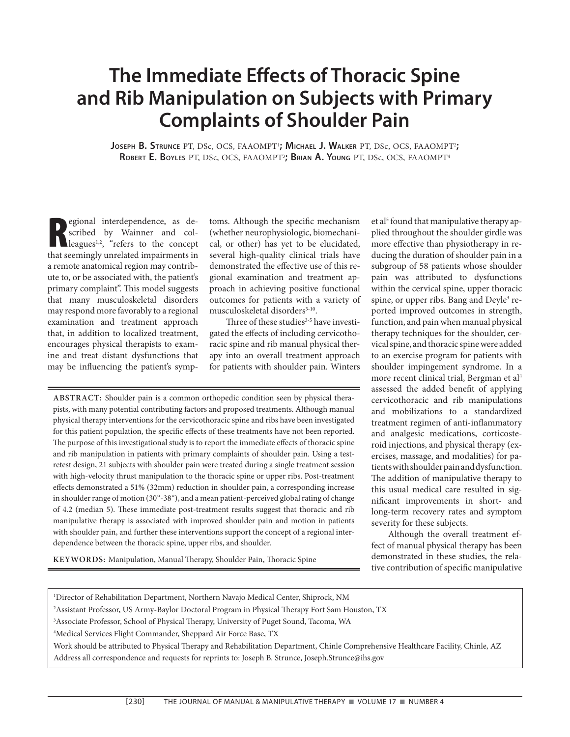# **The Immediate Effects of Thoracic Spine and Rib Manipulation on Subjects with Primary Complaints of Shoulder Pain**

Joseph B. Strunce PT, DSc, OCS, FAAOMPT<sup>1</sup>; Michael J. Walker PT, DSc, OCS, FAAOMPT<sup>2</sup>; **ROBERT E. BOYLES** PT, DSc, OCS, FAAOMPT3 **; BRIAN A. YOUNG** PT, DSc, OCS, FAAOMPT4

**R** egional interdependence, as described by Wainner and colleagues<sup>1,2</sup>, "refers to the concept that seemingly unrelated impairments in a remote anatomical region may contribute to, or be associated with, the patient's primary complaint". This model suggests that many musculoskeletal disorders may respond more favorably to a regional examination and treatment approach that, in addition to localized treatment, encourages physical therapists to examine and treat distant dysfunctions that may be influencing the patient's symp-

toms. Although the specific mechanism (whether neurophysiologic, biomechanical, or other) has yet to be elucidated, several high-quality clinical trials have demonstrated the effective use of this regional examination and treatment approach in achieving positive functional outcomes for patients with a variety of musculoskeletal disorders<sup>3-10</sup>.

Three of these studies<sup>3-5</sup> have investigated the effects of including cervicothoracic spine and rib manual physical therapy into an overall treatment approach for patients with shoulder pain. Winters

**ABSTRACT:** Shoulder pain is a common orthopedic condition seen by physical therapists, with many potential contributing factors and proposed treatments. Although manual physical therapy interventions for the cervicothoracic spine and ribs have been investigated for this patient population, the specific effects of these treatments have not been reported. The purpose of this investigational study is to report the immediate effects of thoracic spine and rib manipulation in patients with primary complaints of shoulder pain. Using a testretest design, 21 subjects with shoulder pain were treated during a single treatment session with high-velocity thrust manipulation to the thoracic spine or upper ribs. Post-treatment effects demonstrated a 51% (32mm) reduction in shoulder pain, a corresponding increase in shoulder range of motion  $(30^\circ-38^\circ)$ , and a mean patient-perceived global rating of change of 4.2 (median 5). These immediate post-treatment results suggest that thoracic and rib manipulative therapy is associated with improved shoulder pain and motion in patients with shoulder pain, and further these interventions support the concept of a regional interdependence between the thoracic spine, upper ribs, and shoulder.

**KEYWORDS:** Manipulation, Manual Therapy, Shoulder Pain, Thoracic Spine

et al<sup>5</sup> found that manipulative therapy applied throughout the shoulder girdle was more effective than physiotherapy in reducing the duration of shoulder pain in a subgroup of 58 patients whose shoulder pain was attributed to dysfunctions within the cervical spine, upper thoracic spine, or upper ribs. Bang and Deyle<sup>3</sup> reported improved outcomes in strength, function, and pain when manual physical therapy techniques for the shoulder, cervical spine, and thoracic spine were added to an exercise program for patients with shoulder impingement syndrome. In a more recent clinical trial, Bergman et al<sup>4</sup> assessed the added benefit of applying cervicothoracic and rib manipulations and mobilizations to a standardized treatment regimen of anti-inflammatory and analgesic medications, corticosteroid injections, and physical therapy (exercises, massage, and modalities) for patients with shoulder pain and dysfunction. The addition of manipulative therapy to this usual medical care resulted in significant improvements in short- and long-term recovery rates and symptom severity for these subjects.

Although the overall treatment effect of manual physical therapy has been demonstrated in these studies, the relative contribution of specific manipulative

| <sup>1</sup> Director of Rehabilitation Department, Northern Navajo Medical Center, Shiprock, NM                                  |
|-----------------------------------------------------------------------------------------------------------------------------------|
| <sup>2</sup> Assistant Professor, US Army-Baylor Doctoral Program in Physical Therapy Fort Sam Houston, TX                        |
| <sup>3</sup> Associate Professor, School of Physical Therapy, University of Puget Sound, Tacoma, WA                               |
| <sup>4</sup> Medical Services Flight Commander, Sheppard Air Force Base, TX                                                       |
| Work should be attributed to Physical Therapy and Rehabilitation Department, Chinle Comprehensive Healthcare Facility, Chinle, AZ |
| Address all correspondence and requests for reprints to: Joseph B. Strunce, Joseph.Strunce@ihs.gov                                |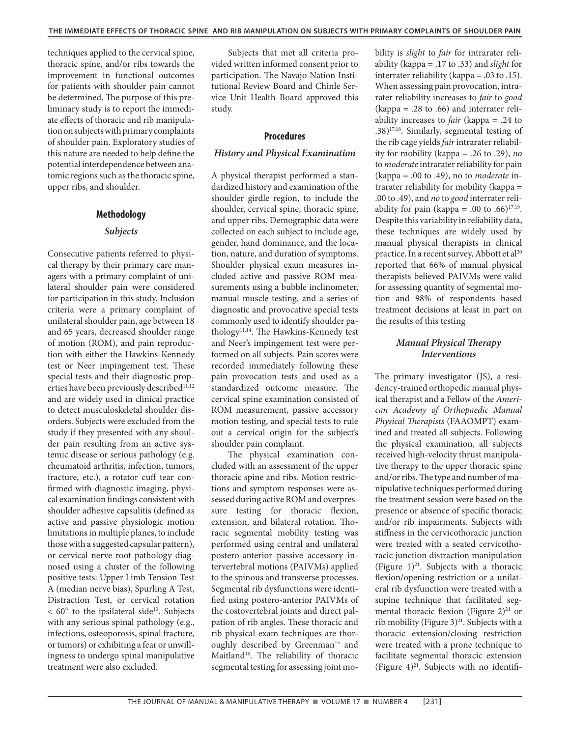techniques applied to the cervical spine, thoracic spine, and/or ribs towards the improvement in functional outcomes for patients with shoulder pain cannot be determined. The purpose of this preliminary study is to report the immediate effects of thoracic and rib manipulation on subjects with primary complaints of shoulder pain. Exploratory studies of this nature are needed to help define the potential interdependence between anatomic regions such as the thoracic spine, upper ribs, and shoulder.

# **Methodology**

# *Subjects*

Consecutive patients referred to physical therapy by their primary care managers with a primary complaint of unilateral shoulder pain were considered for participation in this study. Inclusion criteria were a primary complaint of unilateral shoulder pain, age between 18 and 65 years, decreased shoulder range of motion (ROM), and pain reproduction with either the Hawkins-Kennedy test or Neer impingement test. These special tests and their diagnostic properties have been previously described<sup>11,12</sup> and are widely used in clinical practice to detect musculoskeletal shoulder disorders. Subjects were excluded from the study if they presented with any shoulder pain resulting from an active systemic disease or serious pathology (e.g. rheumatoid arthritis, infection, tumors, fracture, etc.), a rotator cuff tear confirmed with diagnostic imaging, physical examination findings consistent with shoulder adhesive capsulitis (defined as active and passive physiologic motion limitations in multiple planes, to include those with a suggested capsular pattern), or cervical nerve root pathology diagnosed using a cluster of the following positive tests: Upper Limb Tension Test A (median nerve bias), Spurling A Test, Distraction Test, or cervical rotation  $< 60^{\circ}$  to the ipsilateral side<sup>13</sup>. Subjects with any serious spinal pathology (e.g., infections, osteoporosis, spinal fracture, or tumors) or exhibiting a fear or unwillingness to undergo spinal manipulative treatment were also excluded.

Subjects that met all criteria provided written informed consent prior to participation. The Navajo Nation Institutional Review Board and Chinle Service Unit Health Board approved this study.

# **Procedures**

# *History and Physical Examination*

A physical therapist performed a standardized history and examination of the shoulder girdle region, to include the shoulder, cervical spine, thoracic spine, and upper ribs. Demographic data were collected on each subject to include age, gender, hand dominance, and the location, nature, and duration of symptoms. Shoulder physical exam measures included active and passive ROM measurements using a bubble inclinometer, manual muscle testing, and a series of diagnostic and provocative special tests commonly used to identify shoulder pathology<sup>11,14</sup>. The Hawkins-Kennedy test and Neer's impingement test were performed on all subjects. Pain scores were recorded immediately following these pain provocation tests and used as a standardized outcome measure. The cervical spine examination consisted of ROM measurement, passive accessory motion testing, and special tests to rule out a cervical origin for the subject's shoulder pain complaint.

The physical examination concluded with an assessment of the upper thoracic spine and ribs. Motion restrictions and symptom responses were assessed during active ROM and overpressure testing for thoracic flexion, extension, and bilateral rotation. Thoracic segmental mobility testing was performed using central and unilateral postero-anterior passive accessory intervertebral motions (PAIVMs) applied to the spinous and transverse processes. Segmental rib dysfunctions were identified using postero-anterior PAIVMs of the costovertebral joints and direct palpation of rib angles. These thoracic and rib physical exam techniques are thoroughly described by Greenman<sup>15</sup> and Maitland<sup>16</sup>. The reliability of thoracic segmental testing for assessing joint mobility is *slight* to *fair* for intrarater reliability (kappa = .17 to .33) and *slight* for interrater reliability (kappa = .03 to .15). When assessing pain provocation, intrarater reliability increases to *fair* to *good*   $(kappa = .28$  to .66) and interrater reliability increases to *fair* (kappa = .24 to .38)17,18. Similarly, segmental testing of the rib cage yields *fair* intrarater reliability for mobility (kappa = .26 to .29), *no* to *moderate* intrarater reliability for pain (kappa = .00 to .49), no to *moderate* intrarater reliability for mobility (kappa = .00 to .49), and *no* to *good* interrater reliability for pain (kappa = .00 to .66)<sup>17,19</sup>. Despite this variability in reliability data, these techniques are widely used by manual physical therapists in clinical practice. In a recent survey, Abbott et al<sup>20</sup> reported that 66% of manual physical therapists believed PAIVMs were valid for assessing quantity of segmental motion and 98% of respondents based treatment decisions at least in part on the results of this testing

# *Manual Physical Therapy Interventions*

The primary investigator (JS), a residency-trained orthopedic manual physical therapist and a Fellow of the *American Academy of Orthopaedic Manual Physical Therapists* (FAAOMPT) examined and treated all subjects. Following the physical examination, all subjects received high-velocity thrust manipulative therapy to the upper thoracic spine and/or ribs. The type and number of manipulative techniques performed during the treatment session were based on the presence or absence of specific thoracic and/or rib impairments. Subjects with stiffness in the cervicothoracic junction were treated with a seated cervicothoracic junction distraction manipulation (Figure  $1)^{21}$ . Subjects with a thoracic flexion/opening restriction or a unilateral rib dysfunction were treated with a supine technique that facilitated segmental thoracic flexion (Figure  $2)^{21}$  or rib mobility (Figure 3) $^{21}$ . Subjects with a thoracic extension/closing restriction were treated with a prone technique to facilitate segmental thoracic extension (Figure  $4)^{21}$ . Subjects with no identifi-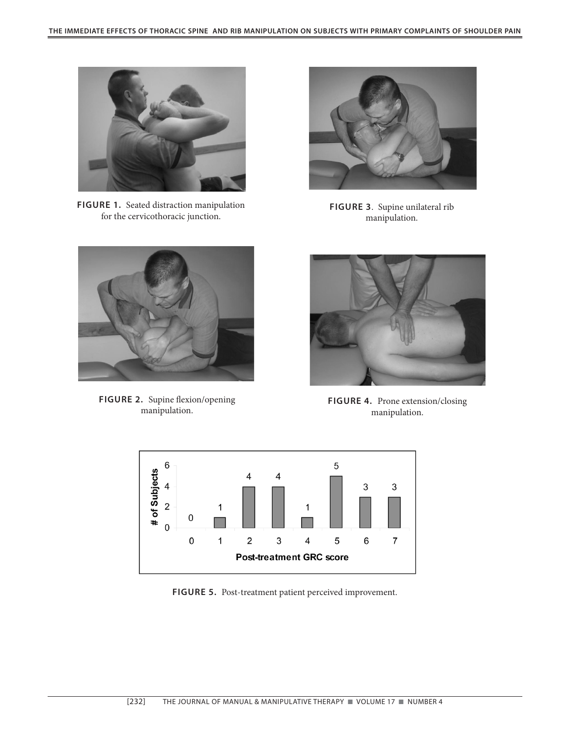

**FIGURE 1.** Seated distraction manipulation for the cervicothoracic junction.



**FIGURE 3**. Supine unilateral rib manipulation.



**FIGURE 2.** Supine flexion/opening manipulation.



**FIGURE 4.** Prone extension/closing manipulation.



**FIGURE 5.** Post-treatment patient perceived improvement.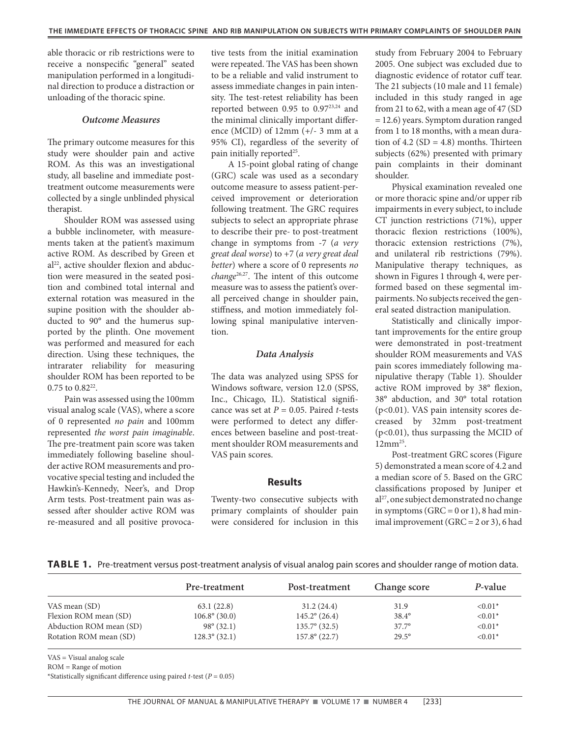able thoracic or rib restrictions were to receive a nonspecific "general" seated manipulation performed in a longitudinal direction to produce a distraction or unloading of the thoracic spine.

# *Outcome Measures*

The primary outcome measures for this study were shoulder pain and active ROM. As this was an investigational study, all baseline and immediate posttreatment outcome measurements were collected by a single unblinded physical therapist.

Shoulder ROM was assessed using a bubble inclinometer, with measurements taken at the patient's maximum active ROM. As described by Green et al<sup>22</sup>, active shoulder flexion and abduction were measured in the seated position and combined total internal and external rotation was measured in the supine position with the shoulder abducted to 90° and the humerus supported by the plinth. One movement was performed and measured for each direction. Using these techniques, the intrarater reliability for measuring shoulder ROM has been reported to be 0.75 to 0.8222.

Pain was assessed using the 100mm visual analog scale (VAS), where a score of 0 represented *no pain* and 100mm represented *the worst pain imaginable*. The pre-treatment pain score was taken immediately following baseline shoulder active ROM measurements and provocative special testing and included the Hawkin's-Kennedy, Neer's, and Drop Arm tests. Post-treatment pain was assessed after shoulder active ROM was re-measured and all positive provocative tests from the initial examination were repeated. The VAS has been shown to be a reliable and valid instrument to assess immediate changes in pain intensity. The test-retest reliability has been reported between 0.95 to 0.9723,24 and the minimal clinically important difference (MCID) of 12mm (+/- 3 mm at a 95% CI), regardless of the severity of pain initially reported<sup>25</sup>.

A 15-point global rating of change (GRC) scale was used as a secondary outcome measure to assess patient-perceived improvement or deterioration following treatment. The GRC requires subjects to select an appropriate phrase to describe their pre- to post-treatment change in symptoms from -7 (*a very great deal worse*) to +7 (*a very great deal better*) where a score of 0 represents *no change*26,27. The intent of this outcome measure was to assess the patient's overall perceived change in shoulder pain, stiffness, and motion immediately following spinal manipulative intervention.

#### *Data Analysis*

The data was analyzed using SPSS for Windows software, version 12.0 (SPSS, Inc., Chicago, IL). Statistical significance was set at *P* = 0.05. Paired *t*-tests were performed to detect any differences between baseline and post-treatment shoulder ROM measurements and VAS pain scores.

# **Results**

Twenty-two consecutive subjects with primary complaints of shoulder pain were considered for inclusion in this

study from February 2004 to February 2005. One subject was excluded due to diagnostic evidence of rotator cuff tear. The 21 subjects (10 male and 11 female) included in this study ranged in age from 21 to 62, with a mean age of 47 (SD = 12.6) years. Symptom duration ranged from 1 to 18 months, with a mean duration of  $4.2$  (SD =  $4.8$ ) months. Thirteen subjects (62%) presented with primary pain complaints in their dominant shoulder.

Physical examination revealed one or more thoracic spine and/or upper rib impairments in every subject, to include CT junction restrictions (71%), upper thoracic flexion restrictions (100%), thoracic extension restrictions (7%), and unilateral rib restrictions (79%). Manipulative therapy techniques, as shown in Figures 1 through 4, were performed based on these segmental impairments. No subjects received the general seated distraction manipulation.

Statistically and clinically important improvements for the entire group were demonstrated in post-treatment shoulder ROM measurements and VAS pain scores immediately following manipulative therapy (Table 1). Shoulder active ROM improved by 38° flexion, 38° abduction, and 30° total rotation (p<0.01). VAS pain intensity scores decreased by 32mm post-treatment (p<0.01), thus surpassing the MCID of  $12mm^{25}$ .

Post-treatment GRC scores (Figure 5) demonstrated a mean score of 4.2 and a median score of 5. Based on the GRC classifications proposed by Juniper et al<sup>27</sup>, one subject demonstrated no change in symptoms (GRC =  $0$  or 1), 8 had minimal improvement (GRC = 2 or 3), 6 had

**TABLE 1.** Pre-treatment versus post-treatment analysis of visual analog pain scores and shoulder range of motion data.

|                         | Pre-treatment          | Post-treatment         | Change score   | P-value   |
|-------------------------|------------------------|------------------------|----------------|-----------|
| VAS mean (SD)           | 63.1(22.8)             | 31.2(24.4)             | 31.9           | $< 0.01*$ |
| Flexion ROM mean (SD)   | $106.8^{\circ}$ (30.0) | $145.2^{\circ}$ (26.4) | $38.4^{\circ}$ | $< 0.01*$ |
| Abduction ROM mean (SD) | $98^{\circ} (32.1)$    | $135.7^{\circ}$ (32.5) | $37.7^{\circ}$ | $< 0.01*$ |
| Rotation ROM mean (SD)  | $128.3^{\circ} (32.1)$ | $157.8^{\circ}$ (22.7) | $29.5^{\circ}$ | $< 0.01*$ |

VAS = Visual analog scale

ROM = Range of motion

\*Statistically significant difference using paired  $t$ -test ( $P = 0.05$ )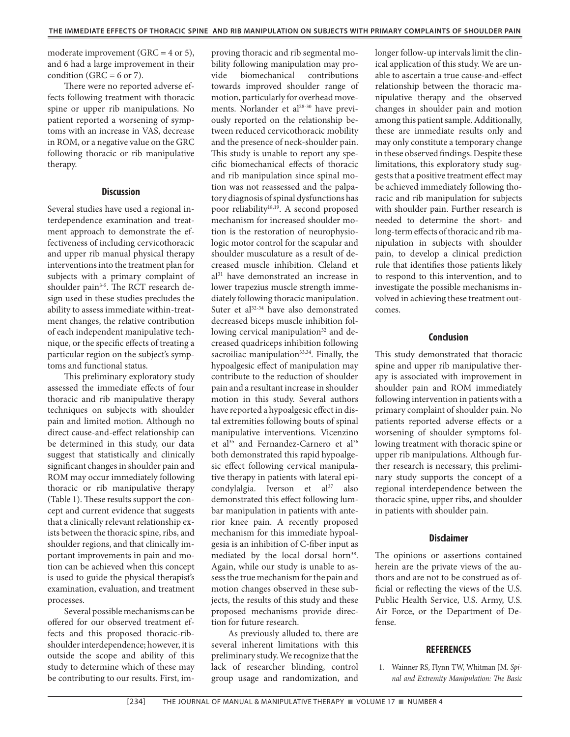moderate improvement (GRC =  $4$  or  $5$ ), and 6 had a large improvement in their condition (GRC =  $6$  or 7).

There were no reported adverse effects following treatment with thoracic spine or upper rib manipulations. No patient reported a worsening of symptoms with an increase in VAS, decrease in ROM, or a negative value on the GRC following thoracic or rib manipulative therapy.

# **Discussion**

Several studies have used a regional interdependence examination and treatment approach to demonstrate the effectiveness of including cervicothoracic and upper rib manual physical therapy interventions into the treatment plan for subjects with a primary complaint of shoulder pain<sup>3-5</sup>. The RCT research design used in these studies precludes the ability to assess immediate within-treatment changes, the relative contribution of each independent manipulative technique, or the specific effects of treating a particular region on the subject's symptoms and functional status.

This preliminary exploratory study assessed the immediate effects of four thoracic and rib manipulative therapy techniques on subjects with shoulder pain and limited motion. Although no direct cause-and-effect relationship can be determined in this study, our data suggest that statistically and clinically significant changes in shoulder pain and ROM may occur immediately following thoracic or rib manipulative therapy (Table 1). These results support the concept and current evidence that suggests that a clinically relevant relationship exists between the thoracic spine, ribs, and shoulder regions, and that clinically important improvements in pain and motion can be achieved when this concept is used to guide the physical therapist's examination, evaluation, and treatment processes.

Several possible mechanisms can be offered for our observed treatment effects and this proposed thoracic-ribshoulder interdependence; however, it is outside the scope and ability of this study to determine which of these may be contributing to our results. First, improving thoracic and rib segmental mobility following manipulation may provide biomechanical contributions towards improved shoulder range of motion, particularly for overhead movements. Norlander et al<sup>28-30</sup> have previously reported on the relationship between reduced cervicothoracic mobility and the presence of neck-shoulder pain. This study is unable to report any specific biomechanical effects of thoracic and rib manipulation since spinal motion was not reassessed and the palpatory diagnosis of spinal dysfunctions has poor reliability<sup>18,19</sup>. A second proposed mechanism for increased shoulder motion is the restoration of neurophysiologic motor control for the scapular and shoulder musculature as a result of decreased muscle inhibition. Cleland et al31 have demonstrated an increase in lower trapezius muscle strength immediately following thoracic manipulation. Suter et al<sup>32-34</sup> have also demonstrated decreased biceps muscle inhibition following cervical manipulation<sup>32</sup> and decreased quadriceps inhibition following sacroiliac manipulation<sup>33,34</sup>. Finally, the hypoalgesic effect of manipulation may contribute to the reduction of shoulder pain and a resultant increase in shoulder motion in this study. Several authors have reported a hypoalgesic effect in distal extremities following bouts of spinal manipulative interventions. Vicenzino et al<sup>35</sup> and Fernandez-Carnero et al<sup>36</sup> both demonstrated this rapid hypoalgesic effect following cervical manipulative therapy in patients with lateral epicondylalgia. Iverson et al<sup>37</sup> also demonstrated this effect following lumbar manipulation in patients with anterior knee pain. A recently proposed mechanism for this immediate hypoalgesia is an inhibition of C-fiber input as mediated by the local dorsal horn<sup>38</sup>. Again, while our study is unable to assess the true mechanism for the pain and motion changes observed in these subjects, the results of this study and these proposed mechanisms provide direction for future research.

As previously alluded to, there are several inherent limitations with this preliminary study. We recognize that the lack of researcher blinding, control group usage and randomization, and longer follow-up intervals limit the clinical application of this study. We are unable to ascertain a true cause-and-effect relationship between the thoracic manipulative therapy and the observed changes in shoulder pain and motion among this patient sample. Additionally, these are immediate results only and may only constitute a temporary change in these observed findings. Despite these limitations, this exploratory study suggests that a positive treatment effect may be achieved immediately following thoracic and rib manipulation for subjects with shoulder pain. Further research is needed to determine the short- and long-term effects of thoracic and rib manipulation in subjects with shoulder pain, to develop a clinical prediction rule that identifies those patients likely to respond to this intervention, and to investigate the possible mechanisms involved in achieving these treatment outcomes.

# **Conclusion**

This study demonstrated that thoracic spine and upper rib manipulative therapy is associated with improvement in shoulder pain and ROM immediately following intervention in patients with a primary complaint of shoulder pain. No patients reported adverse effects or a worsening of shoulder symptoms following treatment with thoracic spine or upper rib manipulations. Although further research is necessary, this preliminary study supports the concept of a regional interdependence between the thoracic spine, upper ribs, and shoulder in patients with shoulder pain.

# **Disclaimer**

The opinions or assertions contained herein are the private views of the authors and are not to be construed as official or reflecting the views of the U.S. Public Health Service, U.S. Army, U.S. Air Force, or the Department of Defense.

## **REFERENCES**

 1. Wainner RS, Flynn TW, Whitman JM. *Spinal and Extremity Manipulation: The Basic*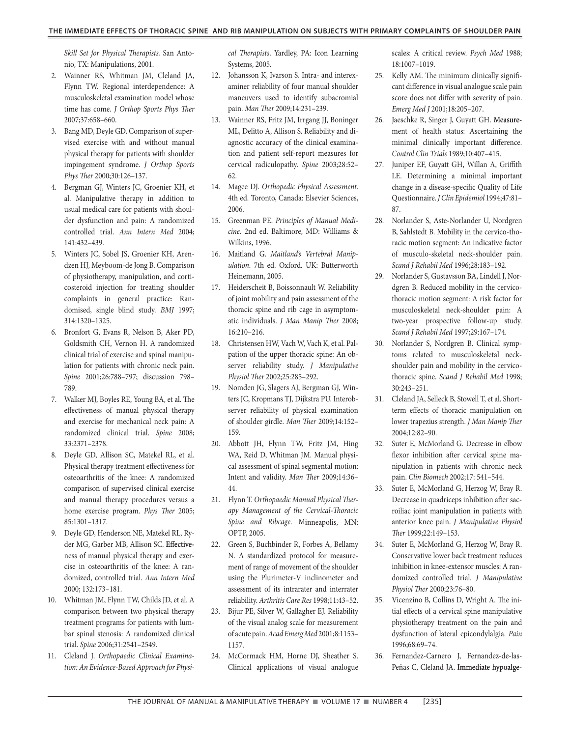*Skill Set for Physical Therapists.* San Antonio, TX: Manipulations, 2001.

- 2. Wainner RS, Whitman JM, Cleland JA, Flynn TW. Regional interdependence: A musculoskeletal examination model whose time has come. *J Orthop Sports Phys Ther* 2007;37:658–660.
- 3. Bang MD, Deyle GD. Comparison of supervised exercise with and without manual physical therapy for patients with shoulder impingement syndrome. *J Orthop Sports Phys Ther* 2000;30:126–137.
- 4. Bergman GJ, Winters JC, Groenier KH, et al. Manipulative therapy in addition to usual medical care for patients with shoulder dysfunction and pain: A randomized controlled trial. *Ann Intern Med* 2004; 141:432–439.
- 5. Winters JC, Sobel JS, Groenier KH, Arendzen HJ, Meyboom-de Jong B. Comparison of physiotherapy, manipulation, and corticosteroid injection for treating shoulder complaints in general practice: Randomised, single blind study. *BMJ* 1997; 314:1320–1325.
- 6. Bronfort G, Evans R, Nelson B, Aker PD, Goldsmith CH, Vernon H. A randomized clinical trial of exercise and spinal manipulation for patients with chronic neck pain. *Spine* 2001;26:788–797; discussion 798– 789.
- 7. Walker MJ, Boyles RE, Young BA, et al. The effectiveness of manual physical therapy and exercise for mechanical neck pain: A randomized clinical trial. *Spine* 2008; 33:2371–2378.
- 8. Deyle GD, Allison SC, Matekel RL, et al. Physical therapy treatment effectiveness for osteoarthritis of the knee: A randomized comparison of supervised clinical exercise and manual therapy procedures versus a home exercise program. *Phys Ther* 2005; 85:1301–1317.
- 9. Deyle GD, Henderson NE, Matekel RL, Ryder MG, Garber MB, Allison SC. Effectiveness of manual physical therapy and exercise in osteoarthritis of the knee: A randomized, controlled trial. *Ann Intern Med* 2000; 132:173–181.
- 10. Whitman JM, Flynn TW, Childs JD, et al. A comparison between two physical therapy treatment programs for patients with lumbar spinal stenosis: A randomized clinical trial. *Spine* 2006;31:2541–2549.
- 11. Cleland J. *Orthopaedic Clinical Examination: An Evidence-Based Approach for Physi-*

*cal Therapists*. Yardley, PA: Icon Learning Systems, 2005.

- 12. Johansson K, Ivarson S. Intra- and interexaminer reliability of four manual shoulder maneuvers used to identify subacromial pain. *Man Ther* 2009;14:231–239.
- 13. Wainner RS, Fritz JM, Irrgang JJ, Boninger ML, Delitto A, Allison S. Reliability and diagnostic accuracy of the clinical examination and patient self-report measures for cervical radiculopathy. *Spine* 2003;28:52– 62.
- 14. Magee DJ. *Orthopedic Physical Assessment*. 4th ed. Toronto, Canada: Elsevier Sciences, 2006.
- 15. Greenman PE. *Principles of Manual Medicine*. 2nd ed. Baltimore, MD: Williams & Wilkins, 1996.
- 16. Maitland G. *Maitland's Vertebral Manipulation*. 7th ed. Oxford. UK: Butterworth Heinemann, 2005.
- 17. Heiderscheit B, Boissonnault W. Reliability of joint mobility and pain assessment of the thoracic spine and rib cage in asymptomatic individuals. *J Man Manip Ther* 2008; 16:210–216.
- 18. Christensen HW, Vach W, Vach K, et al. Palpation of the upper thoracic spine: An observer reliability study. *J Manipulative Physiol Ther* 2002;25:285–292.
- 19. Nomden JG, Slagers AJ, Bergman GJ, Winters JC, Kropmans TJ, Dijkstra PU. Interobserver reliability of physical examination of shoulder girdle. *Man Ther* 2009;14:152– 159.
- 20. Abbott JH, Flynn TW, Fritz JM, Hing WA, Reid D, Whitman JM. Manual physical assessment of spinal segmental motion: Intent and validity. *Man Ther* 2009;14:36– 44.
- 21. Flynn T. *Orthopaedic Manual Physical Therapy Management of the Cervical-Thoracic Spine and Ribcage*. Minneapolis, MN: OPTP, 2005.
- 22. Green S, Buchbinder R, Forbes A, Bellamy N. A standardized protocol for measurement of range of movement of the shoulder using the Plurimeter-V inclinometer and assessment of its intrarater and interrater reliability. *Arthritis Care Res* 1998;11:43–52.
- 23. Bijur PE, Silver W, Gallagher EJ. Reliability of the visual analog scale for measurement of acute pain. *Acad Emerg Med* 2001;8:1153– 1157.
- 24. McCormack HM, Horne DJ, Sheather S. Clinical applications of visual analogue

scales: A critical review. *Psych Med* 1988; 18:1007–1019.

- 25. Kelly AM. The minimum clinically significant difference in visual analogue scale pain score does not differ with severity of pain. *Emerg Med J* 2001;18:205–207.
- 26. Jaeschke R, Singer J, Guyatt GH. Measurement of health status: Ascertaining the minimal clinically important difference. *Control Clin Trials* 1989;10:407–415.
- 27. Juniper EF, Guyatt GH, Willan A, Griffith LE. Determining a minimal important change in a disease-specific Quality of Life Questionnaire. *J Clin Epidemiol* 1994;47:81– 87.
- 28. Norlander S, Aste-Norlander U, Nordgren B, Sahlstedt B. Mobility in the cervico-thoracic motion segment: An indicative factor of musculo-skeletal neck-shoulder pain. *Scand J Rehabil Med* 1996;28:183–192.
- 29. Norlander S, Gustavsson BA, Lindell J, Nordgren B. Reduced mobility in the cervicothoracic motion segment: A risk factor for musculoskeletal neck-shoulder pain: A two-year prospective follow-up study. *Scand J Rehabil Med* 1997;29:167–174.
- 30. Norlander S, Nordgren B. Clinical symptoms related to musculoskeletal neckshoulder pain and mobility in the cervicothoracic spine. *Scand J Rehabil Med* 1998; 30:243–251.
- 31. Cleland JA, Selleck B, Stowell T, et al. Shortterm effects of thoracic manipulation on lower trapezius strength. *J Man Manip Ther* 2004;12:82–90.
- 32. Suter E, McMorland G. Decrease in elbow flexor inhibition after cervical spine manipulation in patients with chronic neck pain. *Clin Biomech* 2002;17: 541–544.
- 33. Suter E, McMorland G, Herzog W, Bray R. Decrease in quadriceps inhibition after sacroiliac joint manipulation in patients with anterior knee pain. *J Manipulative Physiol Ther* 1999;22:149–153.
- 34. Suter E, McMorland G, Herzog W, Bray R. Conservative lower back treatment reduces inhibition in knee-extensor muscles: A randomized controlled trial. *J Manipulative Physiol Ther* 2000;23:76–80.
- 35. Vicenzino B, Collins D, Wright A. The initial effects of a cervical spine manipulative physiotherapy treatment on the pain and dysfunction of lateral epicondylalgia. *Pain* 1996;68:69–74.
- 36. Fernandez-Carnero J, Fernandez-de-las-Peñas C, Cleland JA. Immediate hypoalge-